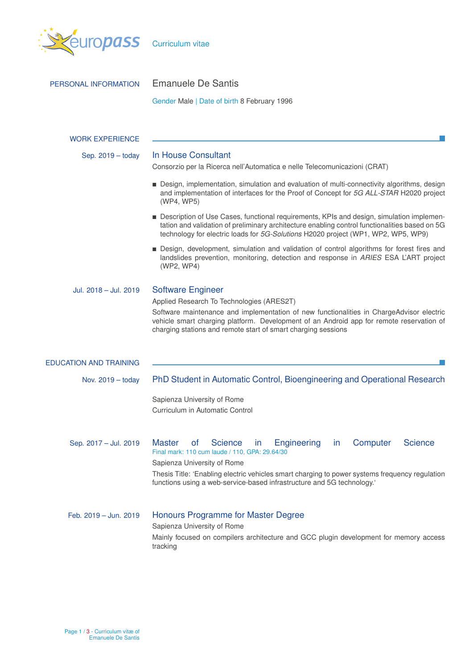

| PERSONAL INFORMATION          | <b>Emanuele De Santis</b>                                                                                                                                                                                                                                                                                                                                           |  |  |  |  |  |
|-------------------------------|---------------------------------------------------------------------------------------------------------------------------------------------------------------------------------------------------------------------------------------------------------------------------------------------------------------------------------------------------------------------|--|--|--|--|--|
|                               | Gender Male   Date of birth 8 February 1996                                                                                                                                                                                                                                                                                                                         |  |  |  |  |  |
|                               |                                                                                                                                                                                                                                                                                                                                                                     |  |  |  |  |  |
| <b>WORK EXPERIENCE</b>        |                                                                                                                                                                                                                                                                                                                                                                     |  |  |  |  |  |
| Sep. 2019 - today             | In House Consultant<br>Consorzio per la Ricerca nell'Automatica e nelle Telecomunicazioni (CRAT)                                                                                                                                                                                                                                                                    |  |  |  |  |  |
|                               | Design, implementation, simulation and evaluation of multi-connectivity algorithms, design<br>and implementation of interfaces for the Proof of Concept for 5G ALL-STAR H2020 project<br>(WP4, WP5)                                                                                                                                                                 |  |  |  |  |  |
|                               | ■ Description of Use Cases, functional requirements, KPIs and design, simulation implemen-<br>tation and validation of preliminary architecture enabling control functionalities based on 5G<br>technology for electric loads for 5G-Solutions H2020 project (WP1, WP2, WP5, WP9)                                                                                   |  |  |  |  |  |
|                               | Design, development, simulation and validation of control algorithms for forest fires and<br>landslides prevention, monitoring, detection and response in ARIES ESA L'ART project<br>(WP2, WP4)                                                                                                                                                                     |  |  |  |  |  |
| Jul. 2018 - Jul. 2019         | <b>Software Engineer</b><br>Applied Research To Technologies (ARES2T)<br>Software maintenance and implementation of new functionalities in ChargeAdvisor electric<br>vehicle smart charging platform. Development of an Android app for remote reservation of<br>charging stations and remote start of smart charging sessions                                      |  |  |  |  |  |
| <b>EDUCATION AND TRAINING</b> |                                                                                                                                                                                                                                                                                                                                                                     |  |  |  |  |  |
| Nov. 2019 - today             | PhD Student in Automatic Control, Bioengineering and Operational Research                                                                                                                                                                                                                                                                                           |  |  |  |  |  |
|                               | Sapienza University of Rome<br>Curriculum in Automatic Control                                                                                                                                                                                                                                                                                                      |  |  |  |  |  |
| Sep. 2017 - Jul. 2019         | Engineering<br><b>Science</b><br><b>Master</b><br><b>Science</b><br>Computer<br>0f<br>in.<br><i>in</i><br>Final mark: 110 cum laude / 110, GPA: 29.64/30<br>Sapienza University of Rome<br>Thesis Title: 'Enabling electric vehicles smart charging to power systems frequency regulation<br>functions using a web-service-based infrastructure and 5G technology.' |  |  |  |  |  |
| Feb. 2019 - Jun. 2019         | Honours Programme for Master Degree<br>Sapienza University of Rome<br>Mainly focused on compilers architecture and GCC plugin development for memory access<br>tracking                                                                                                                                                                                             |  |  |  |  |  |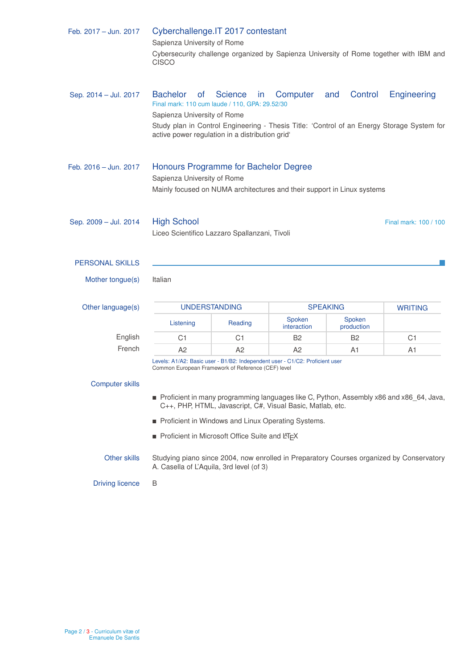| Feb. 2017 - Jun. 2017  | Cyberchallenge. IT 2017 contestant<br>Sapienza University of Rome<br>Cybersecurity challenge organized by Sapienza University of Rome together with IBM and<br><b>CISCO</b> |                       |                       |                      |                                                                                                           |  |  |
|------------------------|-----------------------------------------------------------------------------------------------------------------------------------------------------------------------------|-----------------------|-----------------------|----------------------|-----------------------------------------------------------------------------------------------------------|--|--|
| Sep. 2014 - Jul. 2017  | <b>Bachelor</b><br><b>of</b><br>Final mark: 110 cum laude / 110, GPA: 29.52/30<br>Sapienza University of Rome<br>active power regulation in a distribution grid'            | <b>Science</b><br>in. | Computer              | and<br>Control       | Engineering<br>Study plan in Control Engineering - Thesis Title: 'Control of an Energy Storage System for |  |  |
| Feb. 2016 - Jun. 2017  | Honours Programme for Bachelor Degree<br>Sapienza University of Rome<br>Mainly focused on NUMA architectures and their support in Linux systems                             |                       |                       |                      |                                                                                                           |  |  |
| Sep. 2009 - Jul. 2014  | <b>High School</b><br>Final mark: 100 / 100<br>Liceo Scientifico Lazzaro Spallanzani, Tivoli                                                                                |                       |                       |                      |                                                                                                           |  |  |
| <b>PERSONAL SKILLS</b> |                                                                                                                                                                             |                       |                       |                      |                                                                                                           |  |  |
| Mother tongue(s)       | Italian                                                                                                                                                                     |                       |                       |                      |                                                                                                           |  |  |
| Other language(s)      | <b>UNDERSTANDING</b>                                                                                                                                                        |                       | <b>SPEAKING</b>       |                      | <b>WRITING</b>                                                                                            |  |  |
|                        | Listening                                                                                                                                                                   | Reading               | Spoken<br>interaction | Spoken<br>production |                                                                                                           |  |  |
| English                | C <sub>1</sub>                                                                                                                                                              | C1                    | <b>B2</b>             | B2                   | C <sub>1</sub>                                                                                            |  |  |
| French                 | A2                                                                                                                                                                          | A2                    | A <sub>2</sub>        | A1                   | A1                                                                                                        |  |  |
|                        | Levels: A1/A2: Basic user - B1/B2: Independent user - C1/C2: Proficient user<br>Common European Framework of Reference (CEF) level                                          |                       |                       |                      |                                                                                                           |  |  |
|                        |                                                                                                                                                                             |                       |                       |                      |                                                                                                           |  |  |
| <b>Computer skills</b> |                                                                                                                                                                             |                       |                       |                      |                                                                                                           |  |  |
|                        | Proficient in many programming languages like C, Python, Assembly x86 and x86_64, Java,<br>C++, PHP, HTML, Javascript, C#, Visual Basic, Matlab, etc.                       |                       |                       |                      |                                                                                                           |  |  |
|                        | Proficient in Windows and Linux Operating Systems.                                                                                                                          |                       |                       |                      |                                                                                                           |  |  |
|                        | Proficient in Microsoft Office Suite and LIFX                                                                                                                               |                       |                       |                      |                                                                                                           |  |  |
| Other skills           | Studying piano since 2004, now enrolled in Preparatory Courses organized by Conservatory<br>A. Casella of L'Aquila, 3rd level (of 3)                                        |                       |                       |                      |                                                                                                           |  |  |
| <b>Driving licence</b> | B                                                                                                                                                                           |                       |                       |                      |                                                                                                           |  |  |